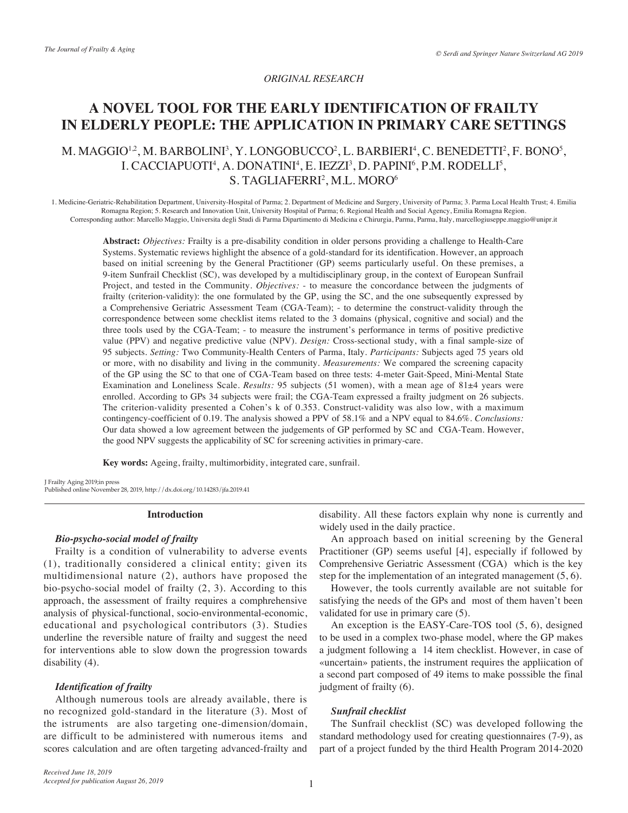## *ORIGINAL RESEARCH*

# **A NOVEL TOOL FOR THE EARLY IDENTIFICATION OF FRAILTY IN ELDERLY PEOPLE: THE APPLICATION IN PRIMARY CARE SETTINGS**

# M. MAGGIO<sup>1,2</sup>, M. BARBOLINI<sup>3</sup>, Y. LONGOBUCCO<sup>2</sup>, L. BARBIERI<sup>4</sup>, C. BENEDETTI<sup>2</sup>, F. BONO<sup>5</sup>, I. CACCIAPUOTI<sup>4</sup>, A. DONATINI<sup>4</sup>, E. IEZZI<sup>3</sup>, D. PAPINI<sup>6</sup>, P.M. RODELLI<sup>5</sup>, S. TAGLIAFERRI<sup>2</sup>, M.L. MORO<sup>6</sup>

1. Medicine-Geriatric-Rehabilitation Department, University-Hospital of Parma; 2. Department of Medicine and Surgery, University of Parma; 3. Parma Local Health Trust; 4. Emilia Romagna Region; 5. Research and Innovation Unit, University Hospital of Parma; 6. Regional Health and Social Agency, Emilia Romagna Region. Corresponding author: Marcello Maggio, Universita degli Studi di Parma Dipartimento di Medicina e Chirurgia, Parma, Parma, Italy, marcellogiuseppe.maggio@unipr.it

**Abstract:** *Objectives:* Frailty is a pre-disability condition in older persons providing a challenge to Health-Care Systems. Systematic reviews highlight the absence of a gold-standard for its identification. However, an approach based on initial screening by the General Practitioner (GP) seems particularly useful. On these premises, a 9-item Sunfrail Checklist (SC), was developed by a multidisciplinary group, in the context of European Sunfrail Project, and tested in the Community. *Objectives:* - to measure the concordance between the judgments of frailty (criterion-validity): the one formulated by the GP, using the SC, and the one subsequently expressed by a Comprehensive Geriatric Assessment Team (CGA-Team); - to determine the construct-validity through the correspondence between some checklist items related to the 3 domains (physical, cognitive and social) and the three tools used by the CGA-Team; - to measure the instrument's performance in terms of positive predictive value (PPV) and negative predictive value (NPV). *Design:* Cross-sectional study, with a final sample-size of 95 subjects. *Setting:* Two Community-Health Centers of Parma, Italy. *Participants:* Subjects aged 75 years old or more, with no disability and living in the community. *Measurements:* We compared the screening capacity of the GP using the SC to that one of CGA-Team based on three tests: 4-meter Gait-Speed, Mini-Mental State Examination and Loneliness Scale. *Results:* 95 subjects (51 women), with a mean age of 81±4 years were enrolled. According to GPs 34 subjects were frail; the CGA-Team expressed a frailty judgment on 26 subjects. The criterion-validity presented a Cohen's k of 0.353. Construct-validity was also low, with a maximum contingency-coefficient of 0.19. The analysis showed a PPV of 58.1% and a NPV equal to 84.6%. *Conclusions:*  Our data showed a low agreement between the judgements of GP performed by SC and CGA-Team. However, the good NPV suggests the applicability of SC for screening activities in primary-care.

**Key words:** Ageing, frailty, multimorbidity, integrated care, sunfrail.

J Frailty Aging 2019;in press Published online November 28, 2019, http://dx.doi.org/10.14283/jfa.2019.41

#### **Introduction**

## *Bio-psycho-social model of frailty*

Frailty is a condition of vulnerability to adverse events (1), traditionally considered a clinical entity; given its multidimensional nature (2), authors have proposed the bio-psycho-social model of frailty (2, 3). According to this approach, the assessment of frailty requires a comphrehensive analysis of physical-functional, socio-environmental-economic, educational and psychological contributors (3). Studies underline the reversible nature of frailty and suggest the need for interventions able to slow down the progression towards disability (4).

## *Identification of frailty*

Although numerous tools are already available, there is no recognized gold-standard in the literature (3). Most of the istruments are also targeting one-dimension/domain, are difficult to be administered with numerous items and scores calculation and are often targeting advanced-frailty and disability. All these factors explain why none is currently and widely used in the daily practice.

An approach based on initial screening by the General Practitioner (GP) seems useful [4], especially if followed by Comprehensive Geriatric Assessment (CGA) which is the key step for the implementation of an integrated management (5, 6).

However, the tools currently available are not suitable for satisfying the needs of the GPs and most of them haven't been validated for use in primary care (5).

An exception is the EASY-Care-TOS tool (5, 6), designed to be used in a complex two-phase model, where the GP makes a judgment following a 14 item checklist. However, in case of «uncertain» patients, the instrument requires the appliication of a second part composed of 49 items to make posssible the final judgment of frailty (6).

## *Sunfrail checklist*

The Sunfrail checklist (SC) was developed following the standard methodology used for creating questionnaires (7-9), as part of a project funded by the third Health Program 2014-2020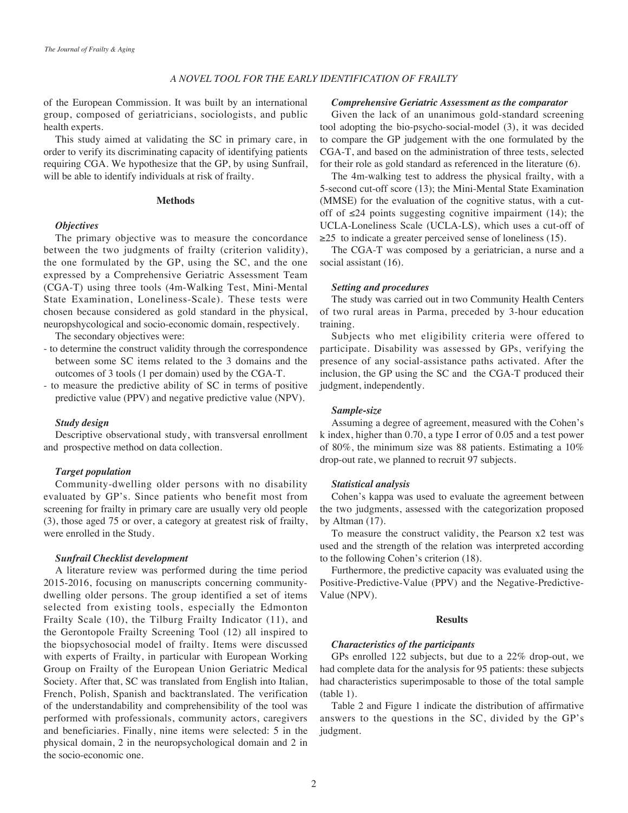#### *A NOVEL TOOL FOR THE EARLY IDENTIFICATION OF FRAILTY*

of the European Commission. It was built by an international group, composed of geriatricians, sociologists, and public health experts.

This study aimed at validating the SC in primary care, in order to verify its discriminating capacity of identifying patients requiring CGA. We hypothesize that the GP, by using Sunfrail, will be able to identify individuals at risk of frailty.

## **Methods**

# *Objectives*

The primary objective was to measure the concordance between the two judgments of frailty (criterion validity), the one formulated by the GP, using the SC, and the one expressed by a Comprehensive Geriatric Assessment Team (CGA-T) using three tools (4m-Walking Test, Mini-Mental State Examination, Loneliness-Scale). These tests were chosen because considered as gold standard in the physical, neuropshycological and socio-economic domain, respectively.

The secondary objectives were:

- to determine the construct validity through the correspondence between some SC items related to the 3 domains and the outcomes of 3 tools (1 per domain) used by the CGA-T.
- to measure the predictive ability of SC in terms of positive predictive value (PPV) and negative predictive value (NPV).

#### *Study design*

Descriptive observational study, with transversal enrollment and prospective method on data collection.

#### *Target population*

Community-dwelling older persons with no disability evaluated by GP's. Since patients who benefit most from screening for frailty in primary care are usually very old people (3), those aged 75 or over, a category at greatest risk of frailty, were enrolled in the Study.

#### *Sunfrail Checklist development*

A literature review was performed during the time period 2015-2016, focusing on manuscripts concerning communitydwelling older persons. The group identified a set of items selected from existing tools, especially the Edmonton Frailty Scale (10), the Tilburg Frailty Indicator (11), and the Gerontopole Frailty Screening Tool (12) all inspired to the biopsychosocial model of frailty. Items were discussed with experts of Frailty, in particular with European Working Group on Frailty of the European Union Geriatric Medical Society. After that, SC was translated from English into Italian, French, Polish, Spanish and backtranslated. The verification of the understandability and comprehensibility of the tool was performed with professionals, community actors, caregivers and beneficiaries. Finally, nine items were selected: 5 in the physical domain, 2 in the neuropsychological domain and 2 in the socio-economic one.

#### *Comprehensive Geriatric Assessment as the comparator*

Given the lack of an unanimous gold-standard screening tool adopting the bio-psycho-social-model (3), it was decided to compare the GP judgement with the one formulated by the CGA-T, and based on the administration of three tests, selected for their role as gold standard as referenced in the literature (6).

The 4m-walking test to address the physical frailty, with a 5-second cut-off score (13); the Mini-Mental State Examination (MMSE) for the evaluation of the cognitive status, with a cutoff of  $\leq 24$  points suggesting cognitive impairment (14); the UCLA-Loneliness Scale (UCLA-LS), which uses a cut-off of  $\geq$ 25 to indicate a greater perceived sense of loneliness (15).

The CGA-T was composed by a geriatrician, a nurse and a social assistant (16).

### *Setting and procedures*

The study was carried out in two Community Health Centers of two rural areas in Parma, preceded by 3-hour education training.

Subjects who met eligibility criteria were offered to participate. Disability was assessed by GPs, verifying the presence of any social-assistance paths activated. After the inclusion, the GP using the SC and the CGA-T produced their judgment, independently.

#### *Sample-size*

Assuming a degree of agreement, measured with the Cohen's k index, higher than 0.70, a type I error of 0.05 and a test power of 80%, the minimum size was 88 patients. Estimating a 10% drop-out rate, we planned to recruit 97 subjects.

#### *Statistical analysis*

Cohen's kappa was used to evaluate the agreement between the two judgments, assessed with the categorization proposed by Altman (17).

To measure the construct validity, the Pearson x2 test was used and the strength of the relation was interpreted according to the following Cohen's criterion (18).

Furthermore, the predictive capacity was evaluated using the Positive-Predictive-Value (PPV) and the Negative-Predictive-Value (NPV).

#### **Results**

### *Characteristics of the participants*

GPs enrolled 122 subjects, but due to a 22% drop-out, we had complete data for the analysis for 95 patients: these subjects had characteristics superimposable to those of the total sample (table 1).

Table 2 and Figure 1 indicate the distribution of affirmative answers to the questions in the SC, divided by the GP's judgment.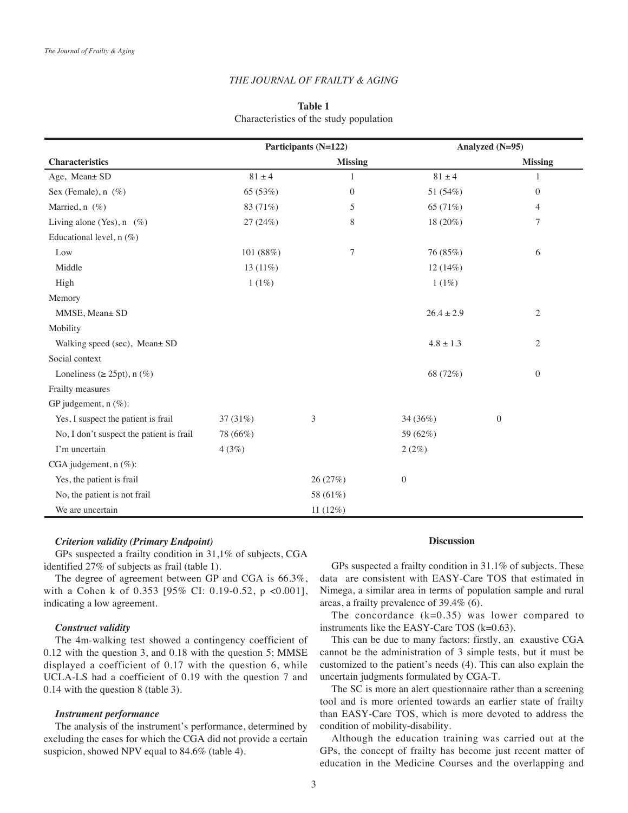### *THE JOURNAL OF FRAILTY & AGING*

# **Table 1** Characteristics of the study population

|                                          | Participants (N=122) |                | Analyzed (N=95) |                  |  |
|------------------------------------------|----------------------|----------------|-----------------|------------------|--|
| <b>Characteristics</b>                   |                      | <b>Missing</b> |                 | <b>Missing</b>   |  |
| Age, Mean± SD                            | $81 \pm 4$           | 1              | $81 \pm 4$      | 1                |  |
| Sex (Female), $n$ (%)                    | 65 (53%)             | $\mathbf{0}$   | 51 (54%)        | $\boldsymbol{0}$ |  |
| Married, n (%)                           | 83 (71%)             | 5              | 65 (71%)        | 4                |  |
| Living alone (Yes), $n \ (\%)$           | 27 (24%)             | 8              | 18 (20%)        | 7                |  |
| Educational level, $n$ (%)               |                      |                |                 |                  |  |
| Low                                      | 101 (88%)            | 7              | 76 (85%)        | 6                |  |
| Middle                                   | 13 $(11\%)$          |                | 12(14%)         |                  |  |
| High                                     | $1(1\%)$             |                | 1(1%)           |                  |  |
| Memory                                   |                      |                |                 |                  |  |
| MMSE, Mean± SD                           |                      |                | $26.4 \pm 2.9$  | $\sqrt{2}$       |  |
| Mobility                                 |                      |                |                 |                  |  |
| Walking speed (sec), Mean± SD            |                      |                | $4.8 \pm 1.3$   | $\mathfrak{2}$   |  |
| Social context                           |                      |                |                 |                  |  |
| Loneliness ( $\geq$ 25pt), n (%)         |                      |                | 68 (72%)        | $\mathbf{0}$     |  |
| Frailty measures                         |                      |                |                 |                  |  |
| GP judgement, $n$ (%):                   |                      |                |                 |                  |  |
| Yes, I suspect the patient is frail      | 37 (31%)             | 3              | 34 (36%)        | $\mathbf{0}$     |  |
| No, I don't suspect the patient is frail | 78 (66%)             |                | 59 (62%)        |                  |  |
| I'm uncertain                            | 4(3%)                |                | 2(2%)           |                  |  |
| CGA judgement, n (%):                    |                      |                |                 |                  |  |
| Yes, the patient is frail                |                      | 26 (27%)       | $\mathbf{0}$    |                  |  |
| No, the patient is not frail             |                      | 58 (61%)       |                 |                  |  |
| We are uncertain                         |                      | 11(12%)        |                 |                  |  |

### *Criterion validity (Primary Endpoint)*

GPs suspected a frailty condition in 31,1% of subjects, CGA identified 27% of subjects as frail (table 1).

The degree of agreement between GP and CGA is 66.3%, with a Cohen k of 0.353 [95% CI: 0.19-0.52, p <0.001], indicating a low agreement.

## *Construct validity*

The 4m-walking test showed a contingency coefficient of 0.12 with the question 3, and 0.18 with the question 5; MMSE displayed a coefficient of 0.17 with the question 6, while UCLA-LS had a coefficient of 0.19 with the question 7 and 0.14 with the question 8 (table 3).

#### *Instrument performance*

The analysis of the instrument's performance, determined by excluding the cases for which the CGA did not provide a certain suspicion, showed NPV equal to 84.6% (table 4).

#### **Discussion**

GPs suspected a frailty condition in 31.1% of subjects. These data are consistent with EASY-Care TOS that estimated in Nimega, a similar area in terms of population sample and rural areas, a frailty prevalence of 39.4% (6).

The concordance  $(k=0.35)$  was lower compared to instruments like the EASY-Care TOS (k=0.63).

This can be due to many factors: firstly, an exaustive CGA cannot be the administration of 3 simple tests, but it must be customized to the patient's needs (4). This can also explain the uncertain judgments formulated by CGA-T.

The SC is more an alert questionnaire rather than a screening tool and is more oriented towards an earlier state of frailty than EASY-Care TOS, which is more devoted to address the condition of mobility-disability.

Although the education training was carried out at the GPs, the concept of frailty has become just recent matter of education in the Medicine Courses and the overlapping and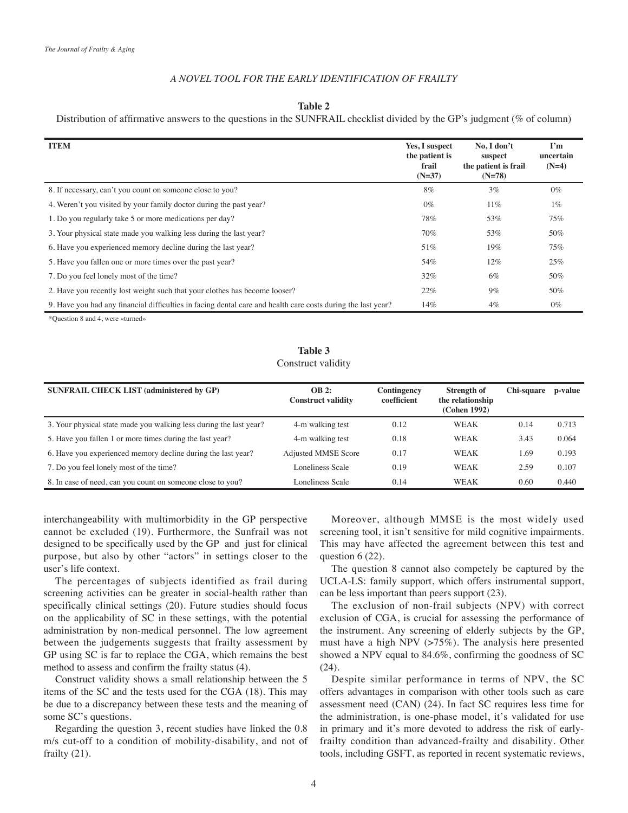# *A NOVEL TOOL FOR THE EARLY IDENTIFICATION OF FRAILTY*

**Table 2**

Distribution of affirmative answers to the questions in the SUNFRAIL checklist divided by the GP's judgment (% of column)

| <b>ITEM</b>                                                                                                  | Yes, I suspect<br>the patient is<br>frail<br>$(N=37)$ | No, I don't<br>suspect<br>the patient is frail<br>$(N=78)$ | I'm<br>uncertain<br>$(N=4)$ |
|--------------------------------------------------------------------------------------------------------------|-------------------------------------------------------|------------------------------------------------------------|-----------------------------|
| 8. If necessary, can't you count on someone close to you?                                                    | $8\%$                                                 | $3\%$                                                      | $0\%$                       |
| 4. Weren't you visited by your family doctor during the past year?                                           | $0\%$                                                 | $11\%$                                                     | $1\%$                       |
| 1. Do you regularly take 5 or more medications per day?                                                      | 78%                                                   | 53%                                                        | 75%                         |
| 3. Your physical state made you walking less during the last year?                                           | 70%                                                   | 53%                                                        | 50%                         |
| 6. Have you experienced memory decline during the last year?                                                 | 51%                                                   | 19%                                                        | 75%                         |
| 5. Have you fallen one or more times over the past year?                                                     | 54%                                                   | $12\%$                                                     | 25%                         |
| 7. Do you feel lonely most of the time?                                                                      | 32%                                                   | 6%                                                         | 50%                         |
| 2. Have you recently lost weight such that your clothes has become looser?                                   | 22%                                                   | $9\%$                                                      | 50%                         |
| 9. Have you had any financial difficulties in facing dental care and health care costs during the last year? | 14%                                                   | $4\%$                                                      | $0\%$                       |

\*Question 8 and 4, were «turned»

# **Table 3** Construct validity

| <b>SUNFRAIL CHECK LIST (administered by GP)</b>                    | <b>OB 2:</b><br><b>Construct validity</b> | Contingency<br>coefficient | Strength of<br>the relationship<br>(Cohen 1992) | Chi-square | p-value |
|--------------------------------------------------------------------|-------------------------------------------|----------------------------|-------------------------------------------------|------------|---------|
| 3. Your physical state made you walking less during the last year? | 4-m walking test                          | 0.12                       | <b>WEAK</b>                                     | 0.14       | 0.713   |
| 5. Have you fallen 1 or more times during the last year?           | 4-m walking test                          | 0.18                       | WEAK                                            | 3.43       | 0.064   |
| 6. Have you experienced memory decline during the last year?       | <b>Adjusted MMSE Score</b>                | 0.17                       | WEAK                                            | 1.69       | 0.193   |
| 7. Do you feel lonely most of the time?                            | Loneliness Scale                          | 0.19                       | <b>WEAK</b>                                     | 2.59       | 0.107   |
| 8. In case of need, can you count on someone close to you?         | Loneliness Scale                          | 0.14                       | <b>WEAK</b>                                     | 0.60       | 0.440   |

interchangeability with multimorbidity in the GP perspective cannot be excluded (19). Furthermore, the Sunfrail was not designed to be specifically used by the GP and just for clinical purpose, but also by other "actors" in settings closer to the user's life context.

The percentages of subjects identified as frail during screening activities can be greater in social-health rather than specifically clinical settings (20). Future studies should focus on the applicability of SC in these settings, with the potential administration by non-medical personnel. The low agreement between the judgements suggests that frailty assessment by GP using SC is far to replace the CGA, which remains the best method to assess and confirm the frailty status (4).

Construct validity shows a small relationship between the 5 items of the SC and the tests used for the CGA (18). This may be due to a discrepancy between these tests and the meaning of some SC's questions.

Regarding the question 3, recent studies have linked the 0.8 m/s cut-off to a condition of mobility-disability, and not of frailty (21).

Moreover, although MMSE is the most widely used screening tool, it isn't sensitive for mild cognitive impairments. This may have affected the agreement between this test and question 6 (22).

The question 8 cannot also competely be captured by the UCLA-LS: family support, which offers instrumental support, can be less important than peers support (23).

The exclusion of non-frail subjects (NPV) with correct exclusion of CGA, is crucial for assessing the performance of the instrument. Any screening of elderly subjects by the GP, must have a high NPV (>75%). The analysis here presented showed a NPV equal to 84.6%, confirming the goodness of SC (24).

Despite similar performance in terms of NPV, the SC offers advantages in comparison with other tools such as care assessment need (CAN) (24). In fact SC requires less time for the administration, is one-phase model, it's validated for use in primary and it's more devoted to address the risk of earlyfrailty condition than advanced-frailty and disability. Other tools, including GSFT, as reported in recent systematic reviews,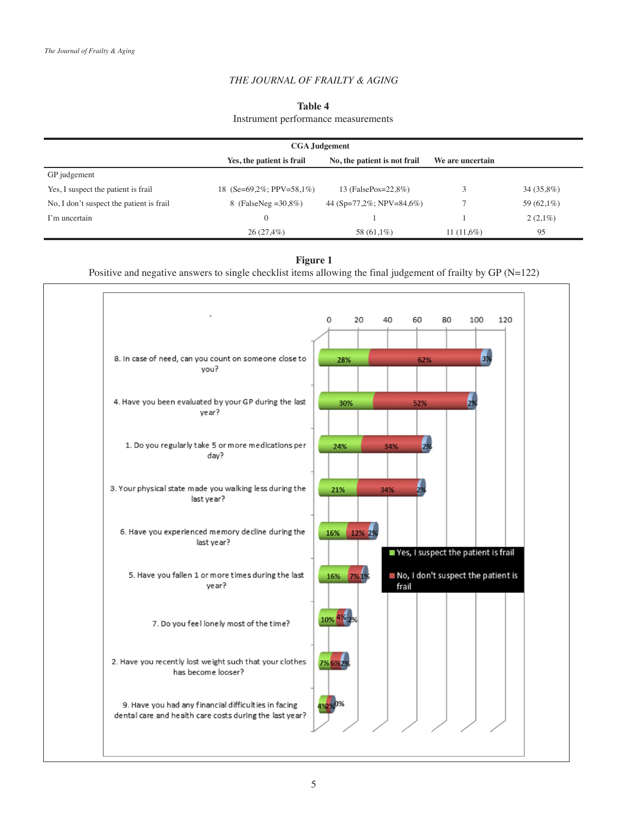# *THE JOURNAL OF FRAILTY & AGING*

# **Table 4**

# Instrument performance measurements

|                                          | <b>CGA</b> Judgement      |                              |                  |              |
|------------------------------------------|---------------------------|------------------------------|------------------|--------------|
|                                          | Yes, the patient is frail | No, the patient is not frail | We are uncertain |              |
| GP judgement                             |                           |                              |                  |              |
| Yes, I suspect the patient is frail      | 18 (Se=69.2%; PPV=58,1%)  | 13 (FalsePos=22,8%)          |                  | $34(35,8\%)$ |
| No, I don't suspect the patient is frail | 8 (FalseNeg = $30,8\%$ )  | 44 (Sp=77,2%; NPV=84,6%)     |                  | 59 (62,1%)   |
| I'm uncertain                            | $\overline{0}$            |                              |                  | $2(2,1\%)$   |
|                                          | $26(27,4\%)$              | 58 (61,1%)                   | $11(11,6\%)$     | 95           |

# **Figure 1**

Positive and negative answers to single checklist items allowing the final judgement of frailty by GP (N=122)

|                                                                                                                 | 0        | 20     | 40    | 60                                  | 80 | 100 | 120 |
|-----------------------------------------------------------------------------------------------------------------|----------|--------|-------|-------------------------------------|----|-----|-----|
|                                                                                                                 |          |        |       |                                     |    |     |     |
| 8. In case of need, can you count on someone close to<br>vou?                                                   | 28%      |        |       | 62%                                 |    | 3%  |     |
| 4. Have you been evaluated by your GP during the last<br>year?                                                  | 30%      |        |       | 52%                                 |    | 2%  |     |
| 1. Do you regularly take 5 or more medications per<br>day?                                                      | 24%      |        | 34%   | 2%                                  |    |     |     |
| 3. Your physical state made you walking less during the<br>last year?                                           | 21%      |        | 34%   |                                     |    |     |     |
| 6. Have you experienced memory decline during the<br>last year?                                                 | 16%      | 12% 2% |       | Yes, I suspect the patient is frail |    |     |     |
| 5. Have you fallen 1 or more times during the last<br>year?                                                     | 16% 7%1% |        | frail | No, I don't suspect the patient is  |    |     |     |
| 7. Do you feel lonely most of the time?                                                                         | 10% 49   |        |       |                                     |    |     |     |
| 2. Have you recently lost weight such that your clothes<br>has become looser?                                   | 7% 6%    |        |       |                                     |    |     |     |
| 9. Have you had any financial difficulties in facing<br>dental care and health care costs during the last year? |          |        |       |                                     |    |     |     |